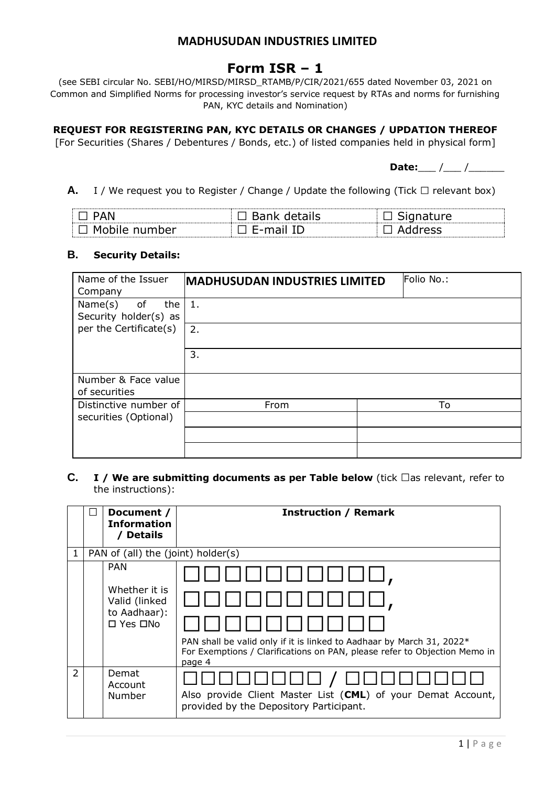# **Form ISR – 1**

(see SEBI circular No. SEBI/HO/MIRSD/MIRSD\_RTAMB/P/CIR/2021/655 dated November 03, 2021 on Common and Simplified Norms for processing investor's service request by RTAs and norms for furnishing PAN, KYC details and Nomination)

**REQUEST FOR REGISTERING PAN, KYC DETAILS OR CHANGES / UPDATION THEREOF**

[For Securities (Shares / Debentures / Bonds, etc.) of listed companies held in physical form]

**Date:** / /

**A.** I / We request you to Register / Change / Update the following (Tick  $\Box$  relevant box)

| $\mathsf{par}$<br>w<br>$\overline{\phantom{a}}$ | ---<br>∸ |  |
|-------------------------------------------------|----------|--|

#### **B. Security Details:**

| Name of the Issuer<br>Company                  | <b>MADHUSUDAN INDUSTRIES LIMITED</b> | Folio No.: |
|------------------------------------------------|--------------------------------------|------------|
| Name(s)<br>of<br>the<br>Security holder(s) as  | 1.                                   |            |
| per the Certificate(s)                         | 2.                                   |            |
|                                                | 3.                                   |            |
| Number & Face value<br>of securities           |                                      |            |
| Distinctive number of<br>securities (Optional) | From                                 | To         |
|                                                |                                      |            |
|                                                |                                      |            |

### **C. I** / We are submitting documents as per Table below (tick  $\Box$ as relevant, refer to the instructions):

|               | Document /<br><b>Information</b><br>/ Details                                              | <b>Instruction / Remark</b>                                                                                                                                  |
|---------------|--------------------------------------------------------------------------------------------|--------------------------------------------------------------------------------------------------------------------------------------------------------------|
| 1             | PAN of (all) the (joint) holder(s)                                                         |                                                                                                                                                              |
|               | <b>PAN</b><br>Whether it is<br>Valid (linked<br>to Aadhaar):<br>$\square$ Yes $\square$ No | PAN shall be valid only if it is linked to Aadhaar by March 31, 2022*<br>For Exemptions / Clarifications on PAN, please refer to Objection Memo in<br>page 4 |
| $\mathcal{P}$ | Demat<br>Account<br>Number                                                                 | Also provide Client Master List (CML) of your Demat Account,<br>provided by the Depository Participant.                                                      |

 $1 | P$  a g e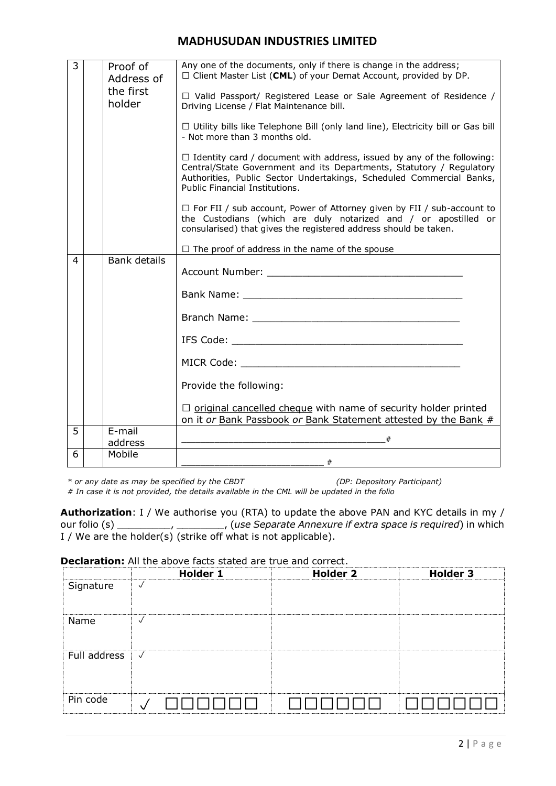| 3 | Proof of<br>Address of<br>the first | Any one of the documents, only if there is change in the address;<br>$\Box$ Client Master List (CML) of your Demat Account, provided by DP.                                                                                                                     |
|---|-------------------------------------|-----------------------------------------------------------------------------------------------------------------------------------------------------------------------------------------------------------------------------------------------------------------|
|   | holder                              | $\Box$ Valid Passport/ Registered Lease or Sale Agreement of Residence /<br>Driving License / Flat Maintenance bill.                                                                                                                                            |
|   |                                     | □ Utility bills like Telephone Bill (only land line), Electricity bill or Gas bill<br>- Not more than 3 months old.                                                                                                                                             |
|   |                                     | $\Box$ Identity card / document with address, issued by any of the following:<br>Central/State Government and its Departments, Statutory / Regulatory<br>Authorities, Public Sector Undertakings, Scheduled Commercial Banks,<br>Public Financial Institutions. |
|   |                                     | $\Box$ For FII / sub account, Power of Attorney given by FII / sub-account to<br>the Custodians (which are duly notarized and / or apostilled or<br>consularised) that gives the registered address should be taken.                                            |
|   |                                     | $\Box$ The proof of address in the name of the spouse                                                                                                                                                                                                           |
| 4 | Bank details                        |                                                                                                                                                                                                                                                                 |
|   |                                     |                                                                                                                                                                                                                                                                 |
|   |                                     |                                                                                                                                                                                                                                                                 |
|   |                                     |                                                                                                                                                                                                                                                                 |
|   |                                     |                                                                                                                                                                                                                                                                 |
|   |                                     | Provide the following:                                                                                                                                                                                                                                          |
|   |                                     | $\Box$ original cancelled cheque with name of security holder printed<br>on it or Bank Passbook or Bank Statement attested by the Bank #                                                                                                                        |
| 5 | E-mail<br>address                   |                                                                                                                                                                                                                                                                 |
| 6 | Mobile                              | #                                                                                                                                                                                                                                                               |

*\* or any date as may be specified by the CBDT (DP: Depository Participant)*

*# In case it is not provided, the details available in the CML will be updated in the folio*

**Authorization**: I / We authorise you (RTA) to update the above PAN and KYC details in my / our folio (s) \_\_\_\_\_\_\_\_\_, \_\_\_\_\_\_\_\_, (*use Separate Annexure if extra space is required*) in which I / We are the holder(s) (strike off what is not applicable).

#### **Declaration:** All the above facts stated are true and correct.

|              | <b>Holder 1</b>          | <b>Holder 2</b> | <b>Holder 3</b> |
|--------------|--------------------------|-----------------|-----------------|
| Signature    | $\sqrt{ }$               |                 |                 |
| Name         | $\checkmark$             |                 |                 |
| Full address | $\overline{\mathcal{A}}$ |                 |                 |
| Pin code     |                          |                 |                 |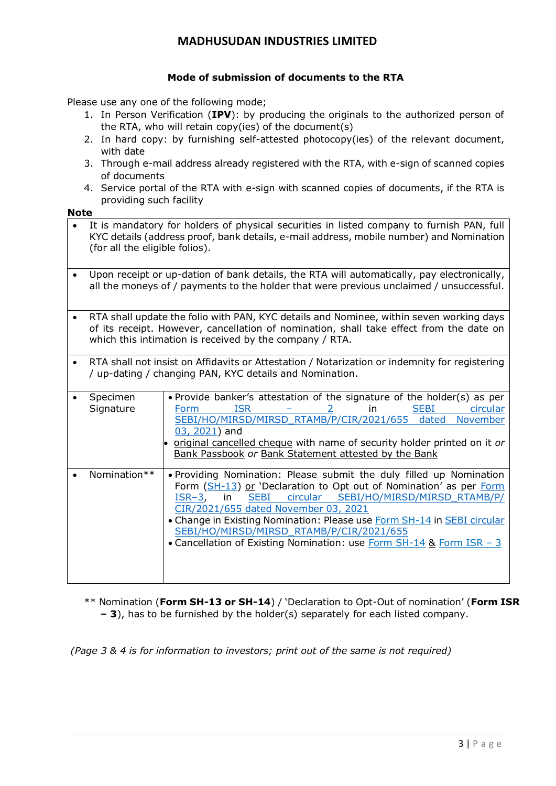### **Mode of submission of documents to the RTA**

Please use any one of the following mode;

- 1. In Person Verification (**IPV**): by producing the originals to the authorized person of the RTA, who will retain copy(ies) of the document(s)
- 2. In hard copy: by furnishing self-attested photocopy(ies) of the relevant document, with date
- 3. Through e-mail address already registered with the RTA, with e-sign of scanned copies of documents
- 4. Service portal of the RTA with e-sign with scanned copies of documents, if the RTA is providing such facility

**Note**

| It is mandatory for holders of physical securities in listed company to furnish PAN, full<br>KYC details (address proof, bank details, e-mail address, mobile number) and Nomination<br>(for all the eligible folios).                        |                                                                                                                                                                                                                                                                                                                                                                                                                                                             |  |
|-----------------------------------------------------------------------------------------------------------------------------------------------------------------------------------------------------------------------------------------------|-------------------------------------------------------------------------------------------------------------------------------------------------------------------------------------------------------------------------------------------------------------------------------------------------------------------------------------------------------------------------------------------------------------------------------------------------------------|--|
| Upon receipt or up-dation of bank details, the RTA will automatically, pay electronically,<br>all the moneys of / payments to the holder that were previous unclaimed / unsuccessful.                                                         |                                                                                                                                                                                                                                                                                                                                                                                                                                                             |  |
| RTA shall update the folio with PAN, KYC details and Nominee, within seven working days<br>of its receipt. However, cancellation of nomination, shall take effect from the date on<br>which this intimation is received by the company / RTA. |                                                                                                                                                                                                                                                                                                                                                                                                                                                             |  |
| RTA shall not insist on Affidavits or Attestation / Notarization or indemnity for registering<br>/ up-dating / changing PAN, KYC details and Nomination.                                                                                      |                                                                                                                                                                                                                                                                                                                                                                                                                                                             |  |
| Specimen<br>Signature                                                                                                                                                                                                                         | . Provide banker's attestation of the signature of the holder(s) as per<br><b>ISR</b><br><b>SEBI</b><br>circular<br>$\overline{2}$<br>in<br>Form<br>SEBI/HO/MIRSD/MIRSD RTAMB/P/CIR/2021/655 dated<br>November<br>$03, 2021$ ) and<br>original cancelled cheque with name of security holder printed on it or<br>Bank Passbook or Bank Statement attested by the Bank                                                                                       |  |
| Nomination**                                                                                                                                                                                                                                  | . Providing Nomination: Please submit the duly filled up Nomination<br>Form (SH-13) or 'Declaration to Opt out of Nomination' as per Form<br>circular SEBI/HO/MIRSD/MIRSD_RTAMB/P/<br><b>SEBI</b><br>$ISR-3$ ,<br>in<br>CIR/2021/655 dated November 03, 2021<br>• Change in Existing Nomination: Please use Form SH-14 in SEBI circular<br>SEBI/HO/MIRSD/MIRSD RTAMB/P/CIR/2021/655<br>• Cancellation of Existing Nomination: use Form SH-14 & Form ISR - 3 |  |

\*\* Nomination (**Form SH-13 or SH-14**) / 'Declaration to Opt-Out of nomination' (**Form ISR – 3**), has to be furnished by the holder(s) separately for each listed company.

*(Page 3 & 4 is for information to investors; print out of the same is not required)*